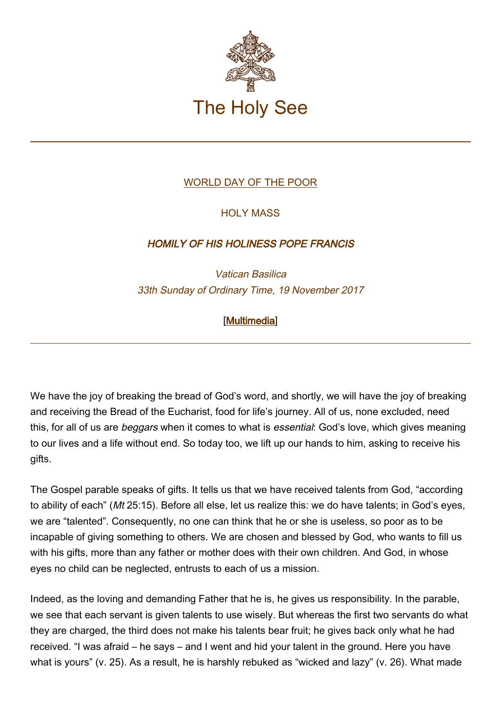

## [WORLD DAY OF THE POOR](http://www.vatican.va/news_services/liturgy/libretti/2017/20171119-libretto-giornata-dei-poveri.pdf)

## HOLY MASS

## HOMILY OF HIS HOLINESS POPE FRANCIS

Vatican Basilica 33th Sunday of Ordinary Time, 19 November 2017

## [\[Multimedia](http://w2.vatican.va/content/francesco/en/events/event.dir.html/content/vaticanevents/en/2017/11/19/messa-giornata-mondiale-poveri.html)]

We have the joy of breaking the bread of God's word, and shortly, we will have the joy of breaking and receiving the Bread of the Eucharist, food for life's journey. All of us, none excluded, need this, for all of us are *beggars* when it comes to what is *essential*: God's love, which gives meaning to our lives and a life without end. So today too, we lift up our hands to him, asking to receive his gifts.

The Gospel parable speaks of gifts. It tells us that we have received talents from God, "according to ability of each" (Mt 25:15). Before all else, let us realize this: we do have talents; in God's eyes, we are "talented". Consequently, no one can think that he or she is useless, so poor as to be incapable of giving something to others. We are chosen and blessed by God, who wants to fill us with his gifts, more than any father or mother does with their own children. And God, in whose eyes no child can be neglected, entrusts to each of us a mission.

Indeed, as the loving and demanding Father that he is, he gives us responsibility. In the parable, we see that each servant is given talents to use wisely. But whereas the first two servants do what they are charged, the third does not make his talents bear fruit; he gives back only what he had received. "I was afraid – he says – and I went and hid your talent in the ground. Here you have what is yours" (v. 25). As a result, he is harshly rebuked as "wicked and lazy" (v. 26). What made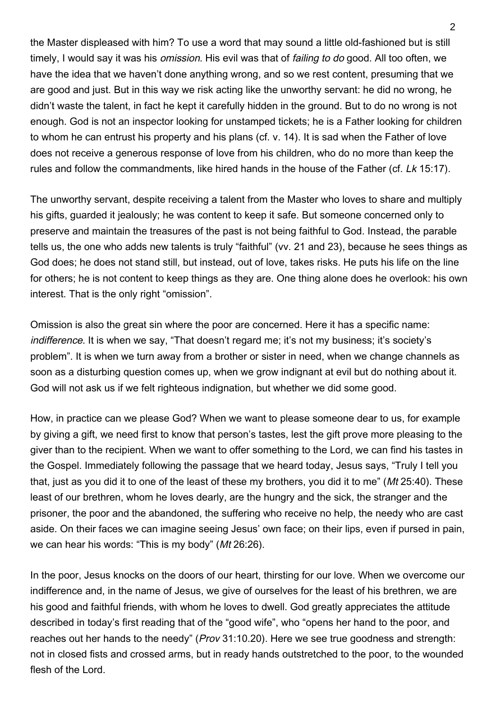the Master displeased with him? To use a word that may sound a little old-fashioned but is still timely, I would say it was his *omission*. His evil was that of *failing to do good.* All too often, we have the idea that we haven't done anything wrong, and so we rest content, presuming that we are good and just. But in this way we risk acting like the unworthy servant: he did no wrong, he didn't waste the talent, in fact he kept it carefully hidden in the ground. But to do no wrong is not enough. God is not an inspector looking for unstamped tickets; he is a Father looking for children to whom he can entrust his property and his plans (cf. v. 14). It is sad when the Father of love does not receive a generous response of love from his children, who do no more than keep the rules and follow the commandments, like hired hands in the house of the Father (cf. Lk 15:17).

The unworthy servant, despite receiving a talent from the Master who loves to share and multiply his gifts, guarded it jealously; he was content to keep it safe. But someone concerned only to preserve and maintain the treasures of the past is not being faithful to God. Instead, the parable tells us, the one who adds new talents is truly "faithful" (vv. 21 and 23), because he sees things as God does; he does not stand still, but instead, out of love, takes risks. He puts his life on the line for others; he is not content to keep things as they are. One thing alone does he overlook: his own interest. That is the only right "omission".

Omission is also the great sin where the poor are concerned. Here it has a specific name: indifference. It is when we say, "That doesn't regard me; it's not my business; it's society's problem". It is when we turn away from a brother or sister in need, when we change channels as soon as a disturbing question comes up, when we grow indignant at evil but do nothing about it. God will not ask us if we felt righteous indignation, but whether we did some good.

How, in practice can we please God? When we want to please someone dear to us, for example by giving a gift, we need first to know that person's tastes, lest the gift prove more pleasing to the giver than to the recipient. When we want to offer something to the Lord, we can find his tastes in the Gospel. Immediately following the passage that we heard today, Jesus says, "Truly I tell you that, just as you did it to one of the least of these my brothers, you did it to me" (Mt 25:40). These least of our brethren, whom he loves dearly, are the hungry and the sick, the stranger and the prisoner, the poor and the abandoned, the suffering who receive no help, the needy who are cast aside. On their faces we can imagine seeing Jesus' own face; on their lips, even if pursed in pain, we can hear his words: "This is my body" (Mt 26:26).

In the poor, Jesus knocks on the doors of our heart, thirsting for our love. When we overcome our indifference and, in the name of Jesus, we give of ourselves for the least of his brethren, we are his good and faithful friends, with whom he loves to dwell. God greatly appreciates the attitude described in today's first reading that of the "good wife", who "opens her hand to the poor, and reaches out her hands to the needy" (*Prov* 31:10.20). Here we see true goodness and strength: not in closed fists and crossed arms, but in ready hands outstretched to the poor, to the wounded flesh of the Lord.